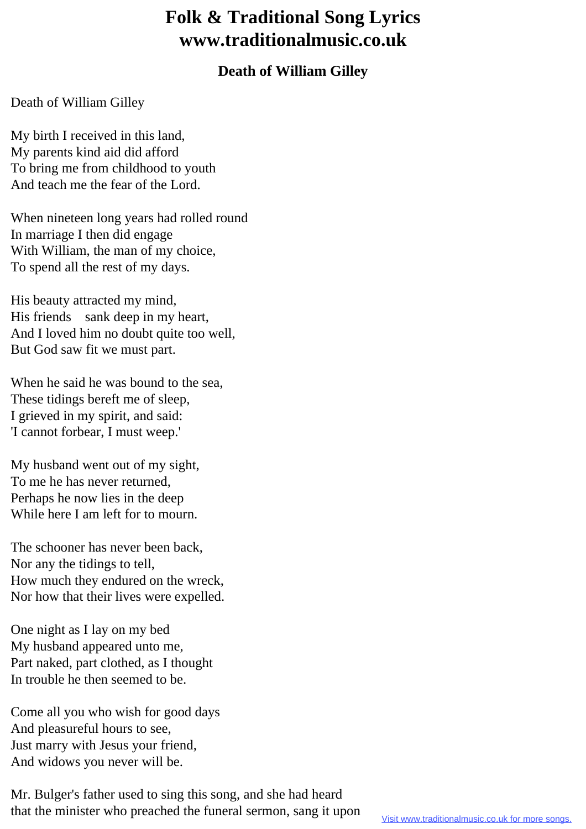## **Folk & Traditional Song Lyrics www.traditionalmusic.co.uk**

## **Death of William Gilley**

## Death of William Gilley

My birth I received in this land, My parents kind aid did afford To bring me from childhood to youth And teach me the fear of the Lord.

When nineteen long years had rolled round In marriage I then did engage With William, the man of my choice, To spend all the rest of my days.

His beauty attracted my mind, His friends sank deep in my heart, And I loved him no doubt quite too well, But God saw fit we must part.

When he said he was bound to the sea. These tidings bereft me of sleep, I grieved in my spirit, and said: 'I cannot forbear, I must weep.'

My husband went out of my sight, To me he has never returned, Perhaps he now lies in the deep While here I am left for to mourn.

The schooner has never been back, Nor any the tidings to tell, How much they endured on the wreck, Nor how that their lives were expelled.

One night as I lay on my bed My husband appeared unto me, Part naked, part clothed, as I thought In trouble he then seemed to be.

Come all you who wish for good days And pleasureful hours to see, Just marry with Jesus your friend, And widows you never will be.

Mr. Bulger's father used to sing this song, and she had heard that the minister who preached the funeral sermon, sang it upon